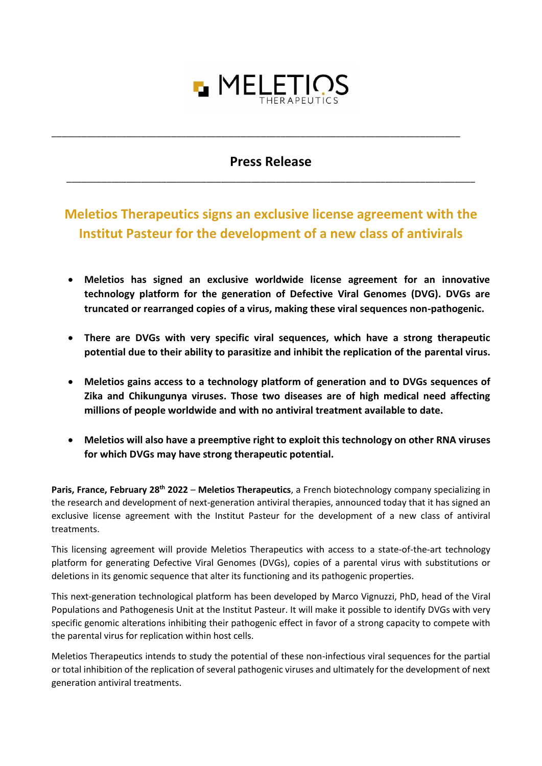

## **Press Release** \_\_\_\_\_\_\_\_\_\_\_\_\_\_\_\_\_\_\_\_\_\_\_\_\_\_\_\_\_\_\_\_\_\_\_\_\_\_\_\_\_\_\_\_\_\_\_\_\_\_\_\_\_\_\_\_\_\_\_\_\_\_\_\_\_\_\_\_\_\_\_\_\_\_\_\_\_\_\_\_\_\_

\_\_\_\_\_\_\_\_\_\_\_\_\_\_\_\_\_\_\_\_\_\_\_\_\_\_\_\_\_\_\_\_\_\_\_\_\_\_\_\_\_\_\_\_\_\_\_\_\_\_\_\_\_\_\_\_\_\_\_\_\_\_\_\_\_\_\_\_\_\_\_\_\_\_\_\_\_\_\_\_\_\_

## **Meletios Therapeutics signs an exclusive license agreement with the Institut Pasteur for the development of a new class of antivirals**

- **Meletios has signed an exclusive worldwide license agreement for an innovative technology platform for the generation of Defective Viral Genomes (DVG). DVGs are truncated or rearranged copies of a virus, making these viral sequences non-pathogenic.**
- **There are DVGs with very specific viral sequences, which have a strong therapeutic potential due to their ability to parasitize and inhibit the replication of the parental virus.**
- **Meletios gains access to a technology platform of generation and to DVGs sequences of Zika and Chikungunya viruses. Those two diseases are of high medical need affecting millions of people worldwide and with no antiviral treatment available to date.**
- **Meletios will also have a preemptive right to exploit this technology on other RNA viruses for which DVGs may have strong therapeutic potential.**

**Paris, France, February 28th 2022** – **Meletios Therapeutics**, a French biotechnology company specializing in the research and development of next-generation antiviral therapies, announced today that it has signed an exclusive license agreement with the Institut Pasteur for the development of a new class of antiviral treatments.

This licensing agreement will provide Meletios Therapeutics with access to a state-of-the-art technology platform for generating Defective Viral Genomes (DVGs), copies of a parental virus with substitutions or deletions in its genomic sequence that alter its functioning and its pathogenic properties.

This next-generation technological platform has been developed by Marco Vignuzzi, PhD, head of the Viral Populations and Pathogenesis Unit at the Institut Pasteur. It will make it possible to identify DVGs with very specific genomic alterations inhibiting their pathogenic effect in favor of a strong capacity to compete with the parental virus for replication within host cells.

Meletios Therapeutics intends to study the potential of these non-infectious viral sequences for the partial or total inhibition of the replication of several pathogenic viruses and ultimately for the development of next generation antiviral treatments.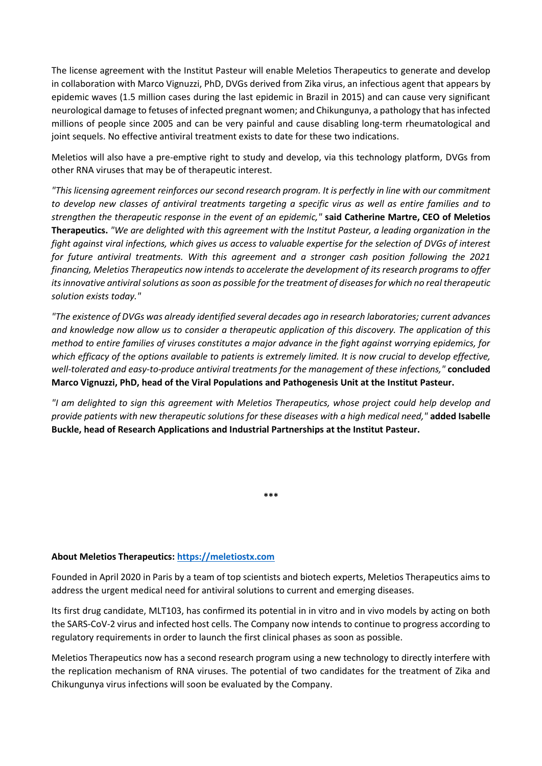The license agreement with the Institut Pasteur will enable Meletios Therapeutics to generate and develop in collaboration with Marco Vignuzzi, PhD, DVGs derived from Zika virus, an infectious agent that appears by epidemic waves (1.5 million cases during the last epidemic in Brazil in 2015) and can cause very significant neurological damage to fetuses of infected pregnant women; and Chikungunya, a pathology that has infected millions of people since 2005 and can be very painful and cause disabling long-term rheumatological and joint sequels. No effective antiviral treatment exists to date for these two indications.

Meletios will also have a pre-emptive right to study and develop, via this technology platform, DVGs from other RNA viruses that may be of therapeutic interest.

*"This licensing agreement reinforces our second research program. It is perfectly in line with our commitment to develop new classes of antiviral treatments targeting a specific virus as well as entire families and to strengthen the therapeutic response in the event of an epidemic,"* **said Catherine Martre, CEO of Meletios Therapeutics.** *"We are delighted with this agreement with the Institut Pasteur, a leading organization in the fight against viral infections, which gives us access to valuable expertise for the selection of DVGs of interest for future antiviral treatments. With this agreement and a stronger cash position following the 2021 financing, Meletios Therapeutics now intends to accelerate the development of its research programs to offer its innovative antiviral solutions as soon as possible for the treatment of diseases for which no real therapeutic solution exists today."*

*"The existence of DVGs was already identified several decades ago in research laboratories; current advances and knowledge now allow us to consider a therapeutic application of this discovery. The application of this method to entire families of viruses constitutes a major advance in the fight against worrying epidemics, for which efficacy of the options available to patients is extremely limited. It is now crucial to develop effective, well-tolerated and easy-to-produce antiviral treatments for the management of these infections,"* **concluded Marco Vignuzzi, PhD, head of the Viral Populations and Pathogenesis Unit at the Institut Pasteur.**

*"I am delighted to sign this agreement with Meletios Therapeutics, whose project could help develop and provide patients with new therapeutic solutions for these diseases with a high medical need,"* **added Isabelle Buckle, head of Research Applications and Industrial Partnerships at the Institut Pasteur.**

**\*\*\***

## **About Meletios Therapeutics[: https://meletiostx.com](https://meletiostx.com/)**

Founded in April 2020 in Paris by a team of top scientists and biotech experts, Meletios Therapeutics aims to address the urgent medical need for antiviral solutions to current and emerging diseases.

Its first drug candidate, MLT103, has confirmed its potential in in vitro and in vivo models by acting on both the SARS-CoV-2 virus and infected host cells. The Company now intends to continue to progress according to regulatory requirements in order to launch the first clinical phases as soon as possible.

Meletios Therapeutics now has a second research program using a new technology to directly interfere with the replication mechanism of RNA viruses. The potential of two candidates for the treatment of Zika and Chikungunya virus infections will soon be evaluated by the Company.